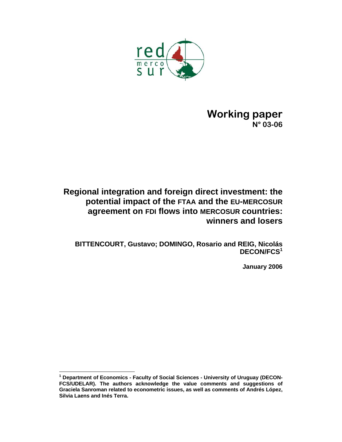

# **Working paper N° 03-06**

# **Regional integration and foreign direct investment: the potential impact of the FTAA and the EU-MERCOSUR agreement on FDI flows into MERCOSUR countries: winners and losers**

**BITTENCOURT, Gustavo; DOMINGO, Rosario and REIG, Nicolás DECON/FCS<sup>1</sup>**

**January 2006**

 **1 Department of Economics - Faculty of Social Sciences - University of Uruguay (DECON-FCS/UDELAR). The authors acknowledge the value comments and suggestions of Graciela Sanroman related to econometric issues, as well as comments of Andrés López, Silvia Laens and Inés Terra.**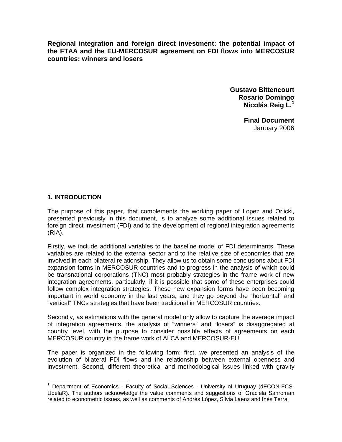**Regional integration and foreign direct investment: the potential impact of the FTAA and the EU-MERCOSUR agreement on FDI flows into MERCOSUR countries: winners and losers** 

> **Gustavo Bittencourt Rosario Domingo Nicolás Reig L.<sup>1</sup>**

> > **Final Document**  January 2006

# **1. INTRODUCTION**

The purpose of this paper, that complements the working paper of Lopez and Orlicki, presented previously in this document, is to analyze some additional issues related to foreign direct investment (FDI) and to the development of regional integration agreements (RIA).

Firstly, we include additional variables to the baseline model of FDI determinants. These variables are related to the external sector and to the relative size of economies that are involved in each bilateral relationship. They allow us to obtain some conclusions about FDI expansion forms in MERCOSUR countries and to progress in the analysis of which could be transnational corporations (TNC) most probably strategies in the frame work of new integration agreements, particularly, if it is possible that some of these enterprises could follow complex integration strategies. These new expansion forms have been becoming important in world economy in the last years, and they go beyond the "horizontal" and "vertical" TNCs strategies that have been traditional in MERCOSUR countries.

Secondly, as estimations with the general model only allow to capture the average impact of integration agreements, the analysis of "winners" and "losers" is disaggregated at country level, with the purpose to consider possible effects of agreements on each MERCOSUR country in the frame work of ALCA and MERCOSUR-EU.

The paper is organized in the following form: first, we presented an analysis of the evolution of bilateral FDI flows and the relationship between external openness and investment. Second, different theoretical and methodological issues linked with gravity

 $\overline{a}$ 1 Department of Economics - Faculty of Social Sciences - University of Uruguay (dECON-FCS-UdelaR). The authors acknowledge the value comments and suggestions of Graciela Sanroman related to econometric issues, as well as comments of Andrés López, Silvia Laenz and Inés Terra.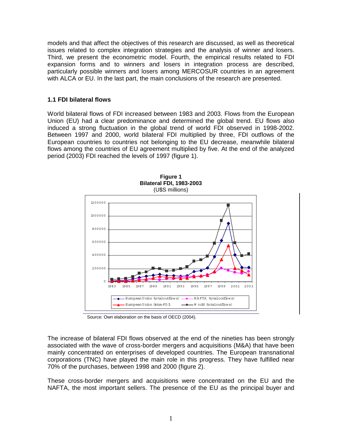models and that affect the objectives of this research are discussed, as well as theoretical issues related to complex integration strategies and the analysis of winner and losers. Third, we present the econometric model. Fourth, the empirical results related to FDI expansion forms and to winners and losers in integration process are described, particularly possible winners and losers among MERCOSUR countries in an agreement with ALCA or EU. In the last part, the main conclusions of the research are presented.

### **1.1 FDI bilateral flows**

World bilateral flows of FDI increased between 1983 and 2003. Flows from the European Union (EU) had a clear predominance and determined the global trend. EU flows also induced a strong fluctuation in the global trend of world FDI observed in 1998-2002. Between 1997 and 2000, world bilateral FDI multiplied by three, FDI outflows of the European countries to countries not belonging to the EU decrease, meanwhile bilateral flows among the countries of EU agreement multiplied by five. At the end of the analyzed period (2003) FDI reached the levels of 1997 (figure 1).



**Figure 1 Bilateral FDI, 1983-2003** 

Source: Own elaboration on the basis of OECD (2004).

The increase of bilateral FDI flows observed at the end of the nineties has been strongly associated with the wave of cross-border mergers and acquisitions (M&A) that have been mainly concentrated on enterprises of developed countries. The European transnational corporations (TNC) have played the main role in this progress. They have fulfilled near 70% of the purchases, between 1998 and 2000 (figure 2).

These cross-border mergers and acquisitions were concentrated on the EU and the NAFTA, the most important sellers. The presence of the EU as the principal buyer and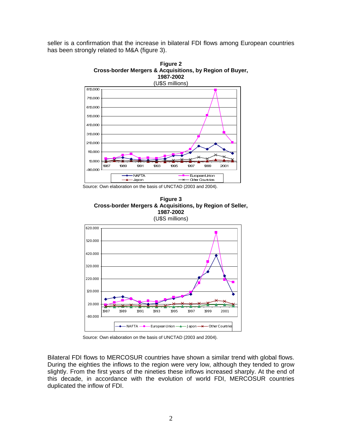seller is a confirmation that the increase in bilateral FDI flows among European countries has been strongly related to M&A (figure 3).



**Figure 2 Cross-border Mergers & Acquisitions, by Region of Buyer,** 

Source: Own elaboration on the basis of UNCTAD (2003 and 2004).





Source: Own elaboration on the basis of UNCTAD (2003 and 2004).

Bilateral FDI flows to MERCOSUR countries have shown a similar trend with global flows. During the eighties the inflows to the region were very low, although they tended to grow slightly. From the first years of the nineties these inflows increased sharply. At the end of this decade, in accordance with the evolution of world FDI, MERCOSUR countries duplicated the inflow of FDI.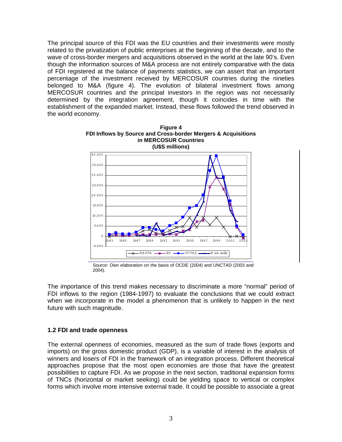The principal source of this FDI was the EU countries and their investments were mostly related to the privatization of public enterprises at the beginning of the decade, and to the wave of cross-border mergers and acquisitions observed in the world at the late 90's. Even though the information sources of M&A process are not entirely comparative with the data of FDI registered at the balance of payments statistics, we can assert that an important percentage of the investment received by MERCOSUR countries during the nineties belonged to M&A (figure 4). The evolution of bilateral investment flows among MERCOSUR countries and the principal investors in the region was not necessarily determined by the integration agreement, though it coincides in time with the establishment of the expanded market. Instead, these flows followed the trend observed in the world economy.

**Figure 4** 



Source: Own elaboration on the basis of OCDE (2004) and UNCTAD (2003 and 2004).

The importance of this trend makes necessary to discriminate a more "normal" period of FDI inflows to the region (1984-1997) to evaluate the conclusions that we could extract when we incorporate in the model a phenomenon that is unlikely to happen in the next future with such magnitude.

### **1.2 FDI and trade openness**

The external openness of economies, measured as the sum of trade flows (exports and imports) on the gross domestic product (GDP), is a variable of interest in the analysis of winners and losers of FDI in the framework of an integration process. Different theoretical approaches propose that the most open economies are those that have the greatest possibilities to capture FDI. As we propose in the next section, traditional expansion forms of TNCs (horizontal or market seeking) could be yielding space to vertical or complex forms which involve more intensive external trade. It could be possible to associate a great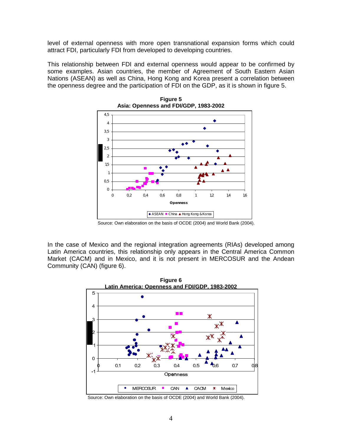level of external openness with more open transnational expansion forms which could attract FDI, particularly FDI from developed to developing countries.

This relationship between FDI and external openness would appear to be confirmed by some examples. Asian countries, the member of Agreement of South Eastern Asian Nations (ASEAN) as well as China, Hong Kong and Korea present a correlation between the openness degree and the participation of FDI on the GDP, as it is shown in figure 5.



**Figure 5 Asia: Openness and FDI/GDP, 1983-2002**

In the case of Mexico and the regional integration agreements (RIAs) developed among Latin America countries, this relationship only appears in the Central America Common Market (CACM) and in Mexico, and it is not present in MERCOSUR and the Andean Community (CAN) (figure 6).



Source: Own elaboration on the basis of OCDE (2004) and World Bank (2004).

Source: Own elaboration on the basis of OCDE (2004) and World Bank (2004).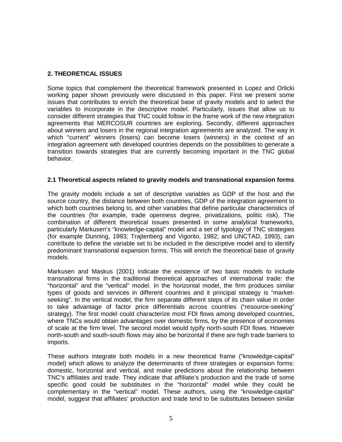# **2. THEORETICAL ISSUES**

Some topics that complement the theoretical framework presented in Lopez and Orlicki working paper shown previously were discussed in this paper. First we present some issues that contributes to enrich the theoretical base of gravity models and to select the variables to incorporate in the descriptive model. Particularly, issues that allow us to consider different strategies that TNC could follow in the frame work of the new integration agreements that MERCOSUR countries are exploring. Secondly, different approaches about winners and losers in the regional integration agreements are analyzed. The way in which "current" winners (losers) can become losers (winners) in the context of an integration agreement with developed countries depends on the possibilities to generate a transition towards strategies that are currently becoming important in the TNC global behavior.

# **2.1 Theoretical aspects related to gravity models and transnational expansion forms**

The gravity models include a set of descriptive variables as GDP of the host and the source country, the distance between both countries, GDP of the integration agreement to which both countries belong to, and other variables that define particular characteristics of the countries (for example, trade openness degree, privatizations, politic risk). The combination of different theoretical issues presented in some analytical frameworks, particularly Markusen's "knowledge-capital" model and a set of typology of TNC strategies (for example Dunning, 1993; Trajtenberg and Vigorito, 1982; and UNCTAD, 1993), can contribute to define the variable set to be included in the descriptive model and to identify predominant transnational expansion forms. This will enrich the theoretical base of gravity models.

Markusen and Maskus (2001) indicate the existence of two basic models to include transnational firms in the traditional theoretical approaches of international trade: the "horizontal" and the "vertical" model. In the horizontal model, the firm produces similar types of goods and services in different countries and it principal strategy is "marketseeking". In the vertical model, the firm separate different steps of its chain value in order to take advantage of factor price differentials across countries ("resource-seeking" strategy). The first model could characterize most FDI flows among developed countries, where TNCs would obtain advantages over domestic firms, by the presence of economies of scale at the firm level. The second model would typify north-south FDI flows. However north-south and south-south flows may also be horizontal if there are high trade barriers to imports.

These authors integrate both models in a new theoretical frame ("knowledge-capital" model) which allows to analyze the determinants of three strategies or expansion forms: domestic, horizontal and vertical, and make predictions about the relationship between TNC's affiliates and trade. They indicate that affiliate's production and the trade of some specific good could be substitutes in the "horizontal" model while they could be complementary in the "vertical" model. These authors, using the "knowledge-capital" model, suggest that affiliates' production and trade tend to be substitutes between similar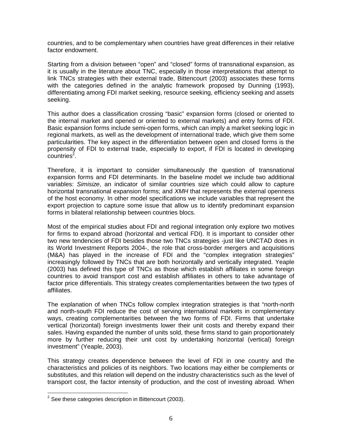countries, and to be complementary when countries have great differences in their relative factor endowment.

Starting from a division between "open" and "closed" forms of transnational expansion, as it is usually in the literature about TNC, especially in those interpretations that attempt to link TNCs strategies with their external trade, Bittencourt (2003) associates these forms with the categories defined in the analytic framework proposed by Dunning (1993), differentiating among FDI market seeking, resource seeking, efficiency seeking and assets seeking.

This author does a classification crossing "basic" expansion forms (closed or oriented to the internal market and opened or oriented to external markets) and entry forms of FDI. Basic expansion forms include semi-open forms, which can imply a market seeking logic in regional markets, as well as the development of international trade, which give them some particularities. The key aspect in the differentiation between open and closed forms is the propensity of FDI to external trade, especially to export, if FDI is located in developing  $countries<sup>2</sup>$ .

Therefore, it is important to consider simultaneously the question of transnational expansion forms and FDI determinants. In the baseline model we include two additional variables: *Simisize*, an indicator of similar countries size which could allow to capture horizontal transnational expansion forms; and *XMH* that represents the external openness of the host economy. In other model specifications we include variables that represent the export projection to capture some issue that allow us to identify predominant expansion forms in bilateral relationship between countries blocs.

Most of the empirical studies about FDI and regional integration only explore two motives for firms to expand abroad (horizontal and vertical FDI). It is important to consider other two new tendencies of FDI besides those two TNCs strategies -just like UNCTAD does in its World Investment Reports 2004-, the role that cross-border mergers and acquisitions (M&A) has played in the increase of FDI and the "complex integration strategies" increasingly followed by TNCs that are both horizontally and vertically integrated. Yeaple (2003) has defined this type of TNCs as those which establish affiliates in some foreign countries to avoid transport cost and establish affiliates in others to take advantage of factor price differentials. This strategy creates complementarities between the two types of affiliates.

The explanation of when TNCs follow complex integration strategies is that "north-north and north-south FDI reduce the cost of serving international markets in complementary ways, creating complementarities between the two forms of FDI. Firms that undertake vertical (horizontal) foreign investments lower their unit costs and thereby expand their sales. Having expanded the number of units sold, these firms stand to gain proportionately more by further reducing their unit cost by undertaking horizontal (vertical) foreign investment" (Yeaple, 2003).

This strategy creates dependence between the level of FDI in one country and the characteristics and policies of its neighbors. Two locations may either be complements or substitutes, and this relation will depend on the industry characteristics such as the level of transport cost, the factor intensity of production, and the cost of investing abroad. When

 $\overline{\phantom{a}}$ 

 $2$  See these categories description in Bittencourt (2003).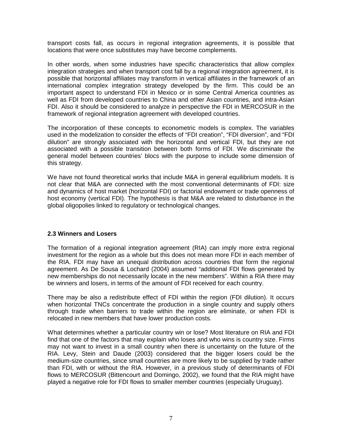transport costs fall, as occurs in regional integration agreements, it is possible that locations that were once substitutes may have become complements.

In other words, when some industries have specific characteristics that allow complex integration strategies and when transport cost fall by a regional integration agreement, it is possible that horizontal affiliates may transform in vertical affiliates in the framework of an international complex integration strategy developed by the firm. This could be an important aspect to understand FDI in Mexico or in some Central America countries as well as FDI from developed countries to China and other Asian countries, and intra-Asian FDI. Also it should be considered to analyze in perspective the FDI in MERCOSUR in the framework of regional integration agreement with developed countries.

The incorporation of these concepts to econometric models is complex. The variables used in the modelization to consider the effects of "FDI creation", "FDI diversion", and "FDI dilution" are strongly associated with the horizontal and vertical FDI, but they are not associated with a possible transition between both forms of FDI. We discriminate the general model between countries' blocs with the purpose to include some dimension of this strategy.

We have not found theoretical works that include M&A in general equilibrium models. It is not clear that M&A are connected with the most conventional determinants of FDI: size and dynamics of host market (horizontal FDI) or factorial endowment or trade openness of host economy (vertical FDI). The hypothesis is that M&A are related to disturbance in the global oligopolies linked to regulatory or technological changes.

# **2.3 Winners and Losers**

The formation of a regional integration agreement (RIA) can imply more extra regional investment for the region as a whole but this does not mean more FDI in each member of the RIA. FDI may have an unequal distribution across countries that form the regional agreement. As De Sousa & Lochard (2004) assumed "additional FDI flows generated by new memberships do not necessarily locate in the new members". Within a RIA there may be winners and losers, in terms of the amount of FDI received for each country.

There may be also a redistribute effect of FDI within the region (FDI dilution). It occurs when horizontal TNCs concentrate the production in a single country and supply others through trade when barriers to trade within the region are eliminate, or when FDI is relocated in new members that have lower production costs.

What determines whether a particular country win or lose? Most literature on RIA and FDI find that one of the factors that may explain who loses and who wins is country size. Firms may not want to invest in a small country when there is uncertainty on the future of the RIA. Levy, Stein and Daude (2003) considered that the bigger losers could be the medium-size countries, since small countries are more likely to be supplied by trade rather than FDI, with or without the RIA. However, in a previous study of determinants of FDI flows to MERCOSUR (Bittencourt and Domingo, 2002), we found that the RIA might have played a negative role for FDI flows to smaller member countries (especially Uruguay).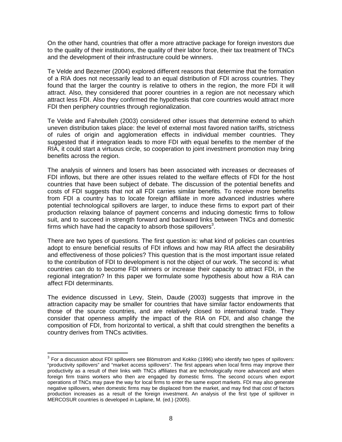On the other hand, countries that offer a more attractive package for foreign investors due to the quality of their institutions, the quality of their labor force, their tax treatment of TNCs and the development of their infrastructure could be winners.

Te Velde and Bezemer (2004) explored different reasons that determine that the formation of a RIA does not necessarily lead to an equal distribution of FDI across countries. They found that the larger the country is relative to others in the region, the more FDI it will attract. Also, they considered that poorer countries in a region are not necessary which attract less FDI. Also they confirmed the hypothesis that core countries would attract more FDI then periphery countries through regionalization.

Te Velde and Fahnbulleh (2003) considered other issues that determine extend to which uneven distribution takes place: the level of external most favored nation tariffs, strictness of rules of origin and agglomeration effects in individual member countries. They suggested that if integration leads to more FDI with equal benefits to the member of the RIA, it could start a virtuous circle, so cooperation to joint investment promotion may bring benefits across the region.

The analysis of winners and losers has been associated with increases or decreases of FDI inflows, but there are other issues related to the welfare effects of FDI for the host countries that have been subject of debate. The discussion of the potential benefits and costs of FDI suggests that not all FDI carries similar benefits. To receive more benefits from FDI a country has to locate foreign affiliate in more advanced industries where potential technological spillovers are larger, to induce these firms to export part of their production relaxing balance of payment concerns and inducing domestic firms to follow suit, and to succeed in strength forward and backward links between TNCs and domestic firms which have had the capacity to absorb those spillovers<sup>3</sup>.

There are two types of questions. The first question is: what kind of policies can countries adopt to ensure beneficial results of FDI inflows and how may RIA affect the desirability and effectiveness of those policies? This question that is the most important issue related to the contribution of FDI to development is not the object of our work. The second is: what countries can do to become FDI winners or increase their capacity to attract FDI, in the regional integration? In this paper we formulate some hypothesis about how a RIA can affect FDI determinants.

The evidence discussed in Levy, Stein, Daude (2003) suggests that improve in the attraction capacity may be smaller for countries that have similar factor endowments that those of the source countries, and are relatively closed to international trade. They consider that openness amplify the impact of the RIA on FDI, and also change the composition of FDI, from horizontal to vertical, a shift that could strengthen the benefits a country derives from TNCs activities.

 $\overline{\phantom{a}}$ 

 $3$  For a discussion about FDI spillovers see Blömstrom and Kokko (1996) who identify two types of spillovers: "productivity spillovers" and "market access spillovers". The first appears when local firms may improve their productivity as a result of their links with TNCs affiliates that are technologically more advanced and when foreign firm trains workers who then are engaged by domestic firms. The second occurs when export operations of TNCs may pave the way for local firms to enter the same export markets. FDI may also generate negative spillovers, when domestic firms may be displaced from the market, and may find that cost of factors production increases as a result of the foreign investment. An analysis of the first type of spillover in MERCOSUR countries is developed in Laplane, M. (ed.) (2005).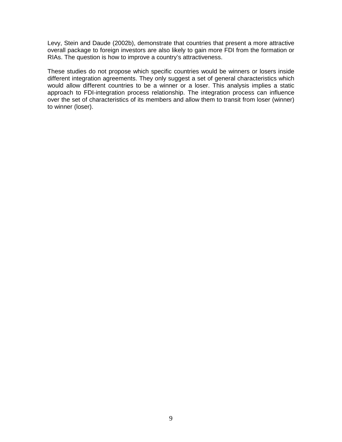Levy, Stein and Daude (2002b), demonstrate that countries that present a more attractive overall package to foreign investors are also likely to gain more FDI from the formation or RIAs. The question is how to improve a country's attractiveness.

These studies do not propose which specific countries would be winners or losers inside different integration agreements. They only suggest a set of general characteristics which would allow different countries to be a winner or a loser. This analysis implies a static approach to FDI-integration process relationship. The integration process can influence over the set of characteristics of its members and allow them to transit from loser (winner) to winner (loser).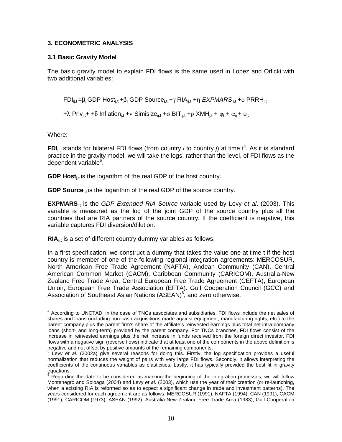### **3. ECONOMETRIC ANALYSIS**

### **3.1 Basic Gravity Model**

The basic gravity model to explain FDI flows is the same used in Lopez and Orlicki with two additional variables:

FDIij,t =βj GDP Host**j,t** +βi GDP Source**i,t** +γ RIAij,t +η *EXPMARS* i,t +φ PRRHj,t

+λ Priv<sub>i,t</sub>+ +δ Inflation<sub>i,t</sub> +ν Simisize<sub>ii,t</sub> +σ BIT<sub>ii,t</sub> +ρ XMH<sub>i,t</sub> +  $\varphi_t$  +  $\alpha_{ij}$  + u<sub>it</sub>

Where:

**FDI**<sub>ij,t</sub> stands for bilateral FDI flows (from country *i* to country *j*) at time  $t^4$ . As it is standard practice in the gravity model, we will take the logs, rather than the level, of FDI flows as the dependent variable<sup>5</sup>.

**GDP Host**<sub>it</sub> is the logarithm of the real GDP of the host country.

**GDP Source**<sub>it</sub> is the logarithm of the real GDP of the source country.

**EXPMARS**<sub>it</sub> is the *GDP Extended RIA Source* variable used by Levy *et al.* (2003). This variable is measured as the log of the joint GDP of the source country plus all the countries that are RIA partners of the source country. If the coefficient is negative, this variable captures FDI diversion/dilution.

**RIA**<sub>il,t</sub> is a set of different country dummy variables as follows.

In a first specification, we construct a dummy that takes the value one at time t if the host country is member of one of the following regional integration agreements: MERCOSUR, North American Free Trade Agreement (NAFTA), Andean Community (CAN), Central American Common Market (CACM), Caribbean Community (CARICOM), Australia-New Zealand Free Trade Area, Central European Free Trade Agreement (CEFTA), European Union, European Free Trade Association (EFTA). Gulf Cooperation Council (GCC) and Association of Southeast Asian Nations (ASEAN)<sup>6</sup>, and zero otherwise.

 $\overline{\phantom{a}}$ <sup>4</sup> According to UNCTAD, in the case of TNCs associates and subsidiaries, FDI flows include the net sales of shares and loans (including non-cash acquisitions made against equipment, manufacturing rights, etc.) to the parent company plus the parent firm's share of the affiliate's reinvested earnings plus total net intra-company loans (short- and long-term) provided by the parent company. For TNCs branches, FDI flows consist of the increase in reinvested earnings plus the net increase in funds received from the foreign direct investor. FDI flows with a negative sign (reverse flows) indicate that at least one of the components in the above definition is negative and not offset by positive amounts of the remaining components.

<sup>5</sup> Levy *et al*. (2002a) give several reasons for doing this. Firstly, the log specification provides a useful normalization that reduces the weight of pairs with very large FDI flows. Secondly, it allows interpreting the coefficients of the continuous variables as elasticities. Lastly, it has typically provided the best fit in gravity equations.

 $6$  Regarding the date to be considered as marking the beginning of the integration processes, we will follow Montenegro and Soloaga (2004) and Levy *et al*. (2003), which use the year of their creation (or re-launching, when a existing RIA is reformed so as to expect a significant change in trade and investment patterns). The years considered for each agreement are as follows: MERCOSUR (1991), NAFTA (1994), CAN (1991), CACM (1991), CARICOM (1973), ASEAN (1992), Australia-New Zealand Free Trade Area (1983), Gulf Cooperation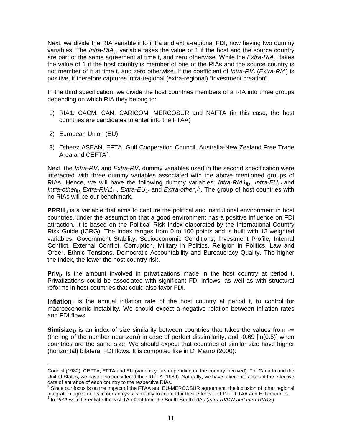Next, we divide the RIA variable into intra and extra-regional FDI, now having two dummy variables. The *Intra-RIA*<sub>ijt</sub> variable takes the value of 1 if the host and the source country are part of the same agreement at time t, and zero otherwise. While the *Extra-RIA*ij<sub>i</sub>t takes the value of 1 if the host country is member of one of the RIAs and the source country is not member of it at time t, and zero otherwise. If the coefficient of *Intra-RIA* (*Extra-RIA*) is positive, it therefore captures intra-regional (extra-regional) "investment creation".

In the third specification, we divide the host countries members of a RIA into three groups depending on which RIA they belong to:

- 1) RIA1: CACM, CAN, CARICOM, MERCOSUR and NAFTA (in this case, the host countries are candidates to enter into the FTAA)
- 2) European Union (EU)

-

3) Others: ASEAN, EFTA, Gulf Cooperation Council, Australia-New Zealand Free Trade Area and  $CEFTA<sup>7</sup>$ .

Next, the *Intra-RIA* and *Extra-RIA* dummy variables used in the second specification were interacted with three dummy variables associated with the above mentioned groups of RIAs. Hence, we will have the following dummy variables: *Intra-RIA1*<sub>ij,t</sub>, *Intra-EU*<sub>ij,t</sub> and Intra-other<sub>ij,t,</sub> Extra-RIA1<sub>ij,t</sub>, Extra-EU<sub>ij,t</sub> and Extra-other<sub>ij,t</sub><sup>8</sup>. The group of host countries with no RIAs will be our benchmark.

**PRRH**<sub>it</sub> is a variable that aims to capture the political and institutional environment in host countries, under the assumption that a good environment has a positive influence on FDI attraction. It is based on the Political Risk Index elaborated by the International Country Risk Guide (ICRG). The Index ranges from 0 to 100 points and is built with 12 weighted variables: Government Stability, Socioeconomic Conditions, Investment Profile, Internal Conflict, External Conflict, Corruption, Military in Politics, Religion in Politics, Law and Order, Ethnic Tensions, Democratic Accountability and Bureaucracy Quality. The higher the Index, the lower the host country risk.

**Priv**<sub>it</sub> is the amount involved in privatizations made in the host country at period t. Privatizations could be associated with significant FDI inflows, as well as with structural reforms in host countries that could also favor FDI.

**Inflation**<sub>it</sub> is the annual inflation rate of the host country at period t, to control for macroeconomic instability. We should expect a negative relation between inflation rates and FDI flows.

**Simisize**<sub>ij,t</sub> is an index of size similarity between countries that takes the values from -∞ (the log of the number near zero) in case of perfect dissimilarity, and -0.69 [ln(0.5)] when countries are the same size. We should expect that countries of similar size have higher (horizontal) bilateral FDI flows. It is computed like in Di Mauro (2000):

Council (1982), CEFTA, EFTA and EU (various years depending on the country involved). For Canada and the United States, we have also considered the CUFTA (1989). Naturally, we have taken into account the effective date of entrance of each country to the respective RIAs.

Since our focus is on the impact of the FTAA and EU-MERCOSUR agreement, the inclusion of other regional integration agreements in our analysis is mainly to control for their effects on FDI to FTAA and EU countries. 8

In *RIA1* we differentiate the NAFTA effect from the South-South RIAs (*Intra-RIA1N and Intra-RIA1S*)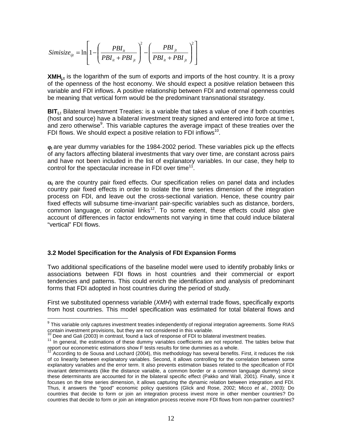$$
Simisize_{ijt} = \ln\left[1 - \left(\frac{PBI_{it}}{PBI_{it} + PBI_{jt}}\right)^{2} - \left(\frac{PBI_{jt}}{PBI_{it} + PBI_{jt}}\right)^{2}\right]
$$

**XMH**<sub>it</sub> is the logarithm of the sum of exports and imports of the host country. It is a proxy of the openness of the host economy. We should expect a positive relation between this variable and FDI inflows. A positive relationship between FDI and external openness could be meaning that vertical form would be the predominant transnational stsrategy.

**BIT**<sub>ii,t</sub> Bilateral Investment Treaties: is a variable that takes a value of one if both countries (host and source) have a bilateral investment treaty signed and entered into force at time t, and zero otherwise<sup>9</sup>. This variable captures the average impact of these treaties over the FDI flows. We should expect a positive relation to FDI inflows<sup>10</sup>.

 $\phi$ <sub>t</sub> are year dummy variables for the 1984-2002 period. These variables pick up the effects of any factors affecting bilateral investments that vary over time, are constant across pairs and have not been included in the list of explanatory variables. In our case, they help to control for the spectacular increase in FDI over time<sup>11</sup>.

 $\alpha_{ii}$  are the country pair fixed effects. Our specification relies on panel data and includes country pair fixed effects in order to isolate the time series dimension of the integration process on FDI, and leave out the cross-sectional variation. Hence, these country pair fixed effects will subsume time-invariant pair-specific variables such as distance, borders, common language, or colonial links<sup>12</sup>. To some extent, these effects could also give account of differences in factor endowments not varying in time that could induce bilateral "vertical" FDI flows.

### **3.2 Model Specification for the Analysis of FDI Expansion Forms**

Two additional specifications of the baseline model were used to identify probably links or associations between FDI flows in host countries and their commercial or export tendencies and patterns. This could enrich the identification and analysis of predominant forms that FDI adopted in host countries during the period of study.

First we substituted openness variable (*XMH*) with external trade flows, specifically exports from host countries. This model specification was estimated for total bilateral flows and

 9 This variable only captures investment treaties independently of regional integration agreements. Some RIAS

contain investment provisions, but they are not considered in this variable.<br><sup>10</sup> Dee and Gali (2003) in contrast, found a lack of response of FDI to bilateral investment treaties.<br><sup>11</sup> In general, the estimations of these

According to de Sousa and Lochard (2004), this methodology has several benefits. First, it reduces the risk of co linearity between explanatory variables. Second, it allows controlling for the correlation between some explanatory variables and the error term. It also prevents estimation biases related to the specification of FDI invariant determinants (like the distance variable, a common border or a common language dummy) since these determinants are accounted for in the bilateral specific effect (Pakko and Wall, 2001). Finally, since it focuses on the time series dimension, it allows capturing the dynamic relation between integration and FDI. Thus, it answers the "good" economic policy questions (Glick and Rose, 2002; Micco *et al.*, 2003): Do countries that decide to form or join an integration process invest more in other member countries? Do countries that decide to form or join an integration process receive more FDI flows from non-partner countries?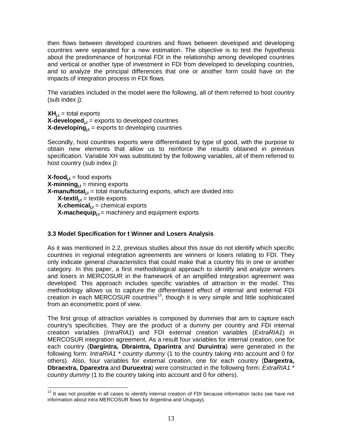then flows between developed countries and flows between developed and developing countries were separated for a new estimation. The objective is to test the hypothesis about the predominance of horizontal FDI in the relationship among developed countries and vertical or another type of investment in FDI from developed to developing countries, and to analyze the principal differences that one or another form could have on the impacts of integration process in FDI flows.

The variables included in the model were the following, all of them referred to host country (sub index j):

 $XH_{i,t}$  = total exports  $X$ -developed $_{i,t}$  = exports to developed countries  $X$ -developing $_{i,t}$  = exports to developing countries

Secondly, host countries exports were differentiated by type of good, with the purpose to obtain new elements that allow us to reinforce the results obtained in previous specification. Variable XH was substituted by the following variables, all of them referred to host country (sub index j):

 $X$ -food<sub>i,t</sub> = food exports  $X$ -minning<sub>it</sub> = mining exports  $X$ -manuftotal<sub>it</sub> = total manufacturing exports, which are divided into: **X-textil**<sub>it</sub> = textile exports **X-chemical**<sub> $i,t$ </sub> = chemical exports **X-machequip**<sub>it</sub> = machinery and equipment exports

# **3.3 Model Specification for t Winner and Losers Analysis**

As it was mentioned in 2.2, previous studies about this issue do not identify which specific countries in regional integration agreements are winners or losers relating to FDI. They only indicate general characteristics that could make that a country fits in one or another category. In this paper, a first methodological approach to identify and analyze winners and losers in MERCOSUR in the framework of an amplified integration agreement was developed. This approach includes specific variables of attraction in the model. This methodology allows us to capture the differentiated effect of internal and external FDI creation in each MERCOSUR countries<sup>13</sup>, though it is very simple and little sophisticated from an econometric point of view.

The first group of attraction variables is composed by dummies that aim to capture each country's specificities. They are the product of a dummy per country and FDI internal creation variables (*IntraRIA1*) and FDI external creation variables (*ExtraRIA1*) in MERCOSUR integration agreement. As a result four variables for internal creation, one for each country (**Dargintra, Dbraintra, Dparintra** and **Duruintra**) were generated in the following form: *IntraRIA1 \* country dummy* (1 to the country taking into account and 0 for others). Also, four variables for external creation, one for each country (**Dargextra, Dbraextra, Dparextra** and **Duruextra**) were constructed in the following form: *ExtraRIA1 \* country dummy* (1 to the country taking into account and 0 for others).

 $\overline{\phantom{a}}$  $13$  It was not possible in all cases to identify internal creation of FDI because information lacks (we have not information about intra MERCOSUR flows for Argentina and Uruguay).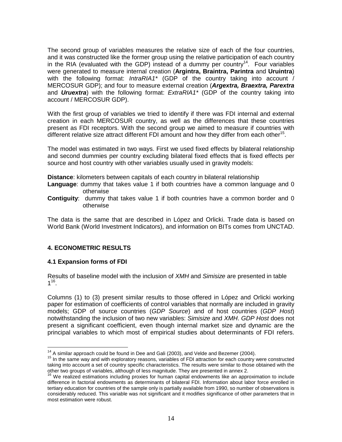The second group of variables measures the relative size of each of the four countries, and it was constructed like the former group using the relative participation of each country in the RIA (evaluated with the GDP) instead of a dummy per country<sup>14</sup>. Four variables were generated to measure internal creation (**Argintra, Braintra, Parintra** and **Uruintra**) with the following format: *IntraRIA1\** (GDP of the country taking into account / MERCOSUR GDP); and four to measure external creation (*Argextra, Braextra, Parextra* and *Uruextra*) with the following format: *ExtraRIA1\** (GDP of the country taking into account / MERCOSUR GDP).

With the first group of variables we tried to identify if there was FDI internal and external creation in each MERCOSUR country, as well as the differences that these countries present as FDI receptors. With the second group we aimed to measure if countries with different relative size attract different FDI amount and how they differ from each other<sup>15</sup>.

The model was estimated in two ways. First we used fixed effects by bilateral relationship and second dummies per country excluding bilateral fixed effects that is fixed effects per source and host country with other variables usually used in gravity models:

**Distance**: kilometers between capitals of each country in bilateral relationship

- **Language**: dummy that takes value 1 if both countries have a common language and 0 otherwise
- **Contiguity**: dummy that takes value 1 if both countries have a common border and 0 otherwise

The data is the same that are described in López and Orlicki. Trade data is based on World Bank (World Investment Indicators), and information on BITs comes from UNCTAD.

# **4. ECONOMETRIC RESULTS**

# **4.1 Expansion forms of FDI**

Results of baseline model with the inclusion of *XMH* and *Simisize* are presented in table  $1^{16}$ .

Columns (1) to (3) present similar results to those offered in López and Orlicki working paper for estimation of coefficients of control variables that normally are included in gravity models; GDP of source countries (*GDP Source*) and of host countries (*GDP Host*) notwithstanding the inclusion of two new variables: *Simisize* and *XMH*. *GDP Host* does not present a significant coefficient, even though internal market size and dynamic are the principal variables to which most of empirical studies about determinants of FDI refers.

 $14$  A similar approach could be found in Dee and Gali (2003), and Velde and Bezemer (2004).

<sup>15</sup> In the same way and with exploratory reasons, variables of FDI attraction for each country were constructed taking into account a set of country specific characteristics. The results were similar to those obtained with the other two groups of variables, although of less magnitude. They are presented in annex 2.<br><sup>16</sup> We realized estimations including proxies for human capital endowments like an approximation to include

difference in factorial endowments as determinants of bilateral FDI. Information about labor force enrolled in tertiary education for countries of the sample only is partially available from 1990, so number of observations is considerably reduced. This variable was not significant and it modifies significance of other parameters that in most estimation were robust.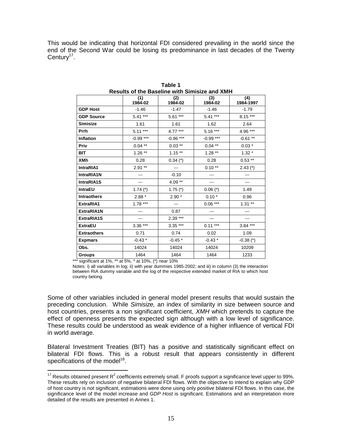This would be indicating that horizontal FDI considered prevailing in the world since the end of the Second War could be losing its predominance in last decades of the Twenty Century<sup>17</sup>.

|                                                                                    | (1)<br>1984-02 | (2)<br>1984-02 | (3)<br>1984-02 | (4)<br>1984-1997 |
|------------------------------------------------------------------------------------|----------------|----------------|----------------|------------------|
| <b>GDP Host</b>                                                                    | $-1.46$        | $-1.47$        | $-1.46$        | $-1.79$          |
| <b>GDP Source</b>                                                                  | $5.41***$      | $5.61***$      | $5.41***$      | $8.15***$        |
| <b>Simisize</b>                                                                    | 1.61           | 1.61           | 1.62           | 2.64             |
| Prrh                                                                               | $5.11***$      | 4.77 ***       | $5.16***$      | 4.96 ***         |
| <b>Inflation</b>                                                                   | $-0.99***$     | $-0.96***$     | $-0.99***$     | $-0.61**$        |
| Priv                                                                               | $0.04**$       | $0.03**$       | $0.04$ **      | $0.03*$          |
| <b>BIT</b>                                                                         | $1.26**$       | $1.15**$       | $1.28**$       | $1.32*$          |
| <b>XMh</b>                                                                         | 0.28           | $0.34$ (*)     | 0.28           | $0.53**$         |
| IntraRIA1                                                                          | $2.91**$       | ---            | $0.10**$       | $2.43$ (*)       |
| IntraRIA1N                                                                         |                | $-0.10$        | ---            | ---              |
| <b>IntraRIA1S</b>                                                                  |                | $4.09**$       |                |                  |
| <b>IntraEU</b>                                                                     | 1.74 $(*)$     | 1.75 $(*)$     | $0.06$ (*)     | 1.49             |
| <b>Intraothers</b>                                                                 | $2.88*$        | $2.90*$        | $0.10*$        | 0.96             |
| ExtraRIA1                                                                          | $1.78***$      | ---            | $0.06***$      | $1.31**$         |
| ExtraRIA1N                                                                         |                | 0.87           |                |                  |
| <b>ExtraRIA1S</b>                                                                  |                | $2.39***$      |                |                  |
| <b>ExtraEU</b>                                                                     | $3.36***$      | $3.35***$      | $0.11***$      | $3.84***$        |
| <b>Extraothers</b>                                                                 | 0.71           | 0.74           | 0.02           | 1.09             |
| <b>Expmars</b>                                                                     | $-0.43*$       | $-0.45*$       | $-0.43*$       | $-0.38$ (*)      |
| Obs.                                                                               | 14024          | 14024          | 14024          | 10209            |
| <b>Groups</b><br>$k = 1$ and $k = 400$ and $k = 400$ and $k = 4000$ and $k = 4000$ | 1464           | 1464           | 1464           | 1233             |

**Table 1 Results of the Baseline with Simisize and XMH** 

\*\*\* significant at 1%, \*\* at 5%, \* at 10%, (\*) near 10%

 $\overline{\phantom{a}}$ 

Notes: i) all variables in log; ii) with year dummies 1985-2002; and iii) in column (3) the interaction between RIA dummy variable and the log of the respective extended market of RIA to which host country belong.

Some of other variables included in general model present results that would sustain the preceding conclusion. While *Simisize,* an index of similarity in size between source and host countries, presents a non significant coefficient, *XMH* which pretends to capture the effect of openness presents the expected sign although with a low level of significance. These results could be understood as weak evidence of a higher influence of vertical FDI in world average.

Bilateral Investment Treaties (BIT) has a positive and statistically significant effect on bilateral FDI flows. This is a robust result that appears consistently in different specifications of the model<sup>18</sup>.

<sup>&</sup>lt;sup>17</sup> Results obtained present R<sup>2</sup> coefficients extremely small. F proofs support a significance level upper to 99%. These results rely on inclusion of negative bilateral FDI flows. With the objective to intend to explain why GDP of host country is not significant, estimations were done using only positive bilateral FDI flows. In this case, the significance level of the model increase and *GDP Host* is significant. Estimations and an interpretation more detailed of the results are presented in Annex 1.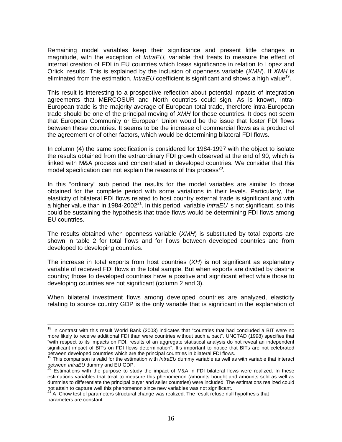Remaining model variables keep their significance and present little changes in magnitude, with the exception of *IntraEU,* variable that treats to measure the effect of internal creation of FDI in EU countries which loses significance in relation to Lopez and Orlicki results. This is explained by the inclusion of openness variable (*XMH*). If *XMH* is eliminated from the estimation, *IntraEU* coefficient is significant and shows a high value<sup>19</sup>.

This result is interesting to a prospective reflection about potential impacts of integration agreements that MERCOSUR and North countries could sign. As is known, intra-European trade is the majority average of European total trade, therefore intra-European trade should be one of the principal moving of *XMH* for these countries. It does not seem that European Community or European Union would be the issue that foster FDI flows between these countries. It seems to be the increase of commercial flows as a product of the agreement or of other factors, which would be determining bilateral FDI flows.

In column (4) the same specification is considered for 1984-1997 with the object to isolate the results obtained from the extraordinary FDI growth observed at the end of 90, which is linked with M&A process and concentrated in developed countries. We consider that this model specification can not explain the reasons of this process $^{20}$ .

In this "ordinary" sub period the results for the model variables are similar to those obtained for the complete period with some variations in their levels. Particularly, the elasticity of bilateral FDI flows related to host country external trade is significant and with a higher value than in 1984-200221. In this period, variable *IntraEU* is not significant, so this could be sustaining the hypothesis that trade flows would be determining FDI flows among EU countries.

The results obtained when openness variable (*XMH*) is substituted by total exports are shown in table 2 for total flows and for flows between developed countries and from developed to developing countries.

The increase in total exports from host countries (*XH*) is not significant as explanatory variable of received FDI flows in the total sample. But when exports are divided by destine country; those to developed countries have a positive and significant effect while those to developing countries are not significant (column 2 and 3).

When bilateral investment flows among developed countries are analyzed, elasticity relating to source country GDP is the only variable that is significant in the explanation of

 $18$  In contrast with this result World Bank (2003) indicates that "countries that had concluded a BIT were no more likely to receive additional FDI than were countries without such a pact". UNCTAD (1998) specifies that "with respect to its impacts on FDI, results of an aggregate statistical analysis do not reveal an independent significant impact of BITs on FDI flows determination". It's important to notice that BITs are not celebrated<br>between developed countries which are the principal countries in bilateral FDI flows.

<sup>&</sup>lt;sup>19</sup> This comparison is valid for the estimation with *IntraEU* dummy variable as well as with variable that interact<br>between *IntraEU* dummy and EU GDP.

<sup>&</sup>lt;sup>20</sup> Estimations with the purpose to study the impact of M&A in FDI bilateral flows were realized. In these estimations variables that treat to measure this phenomenon (amounts bought and amounts sold as well as dummies to differentiate the principal buyer and seller countries) were included. The estimations realized could<br>not attain to capture well this phenomenon since new variables was not significant.

A Chow test of parameters structural change was realized. The result refuse null hypothesis that parameters are constant.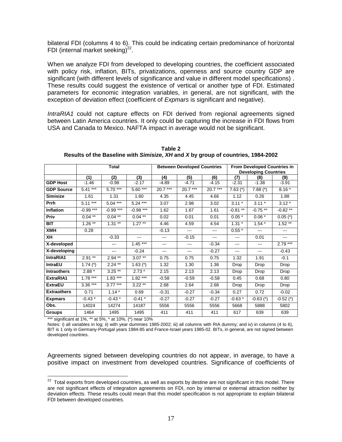bilateral FDI (columns 4 to 6). This could be indicating certain predominance of horizontal FDI (internal market seeking) $^{22}$ .

When we analyze FDI from developed to developing countries, the coefficient associated with policy risk, inflation, BITs, privatizations, openness and source country GDP are significant (with different levels of significance and value in different model specifications) . These results could suggest the existence of vertical or another type of FDI. Estimated parameters for economic integration variables, in general, are not significant, with the exception of deviation effect (coefficient of *Expmars* is significant and negative).

*IntraRIA1* could not capture effects on FDI derived from regional agreements signed between Latin America countries. It only could be capturing the increase in FDI flows from USA and Canada to Mexico. NAFTA impact in average would not be significant.

|                    | Total      |            | <b>Between Developed Countries</b> |           |           | <b>From Developed Countries in</b> |                             |               |             |
|--------------------|------------|------------|------------------------------------|-----------|-----------|------------------------------------|-----------------------------|---------------|-------------|
|                    |            |            |                                    |           |           |                                    | <b>Developing Countries</b> |               |             |
|                    | (1)        | (2)        | (3)                                | (4)       | (5)       | (6)                                | (7)                         | (8)           | (9)         |
| <b>GDP Host</b>    | $-1.46$    | $-0.98$    | $-2.17$                            | $-4.89$   | $-4.71$   | $-4.15$                            | $-2.31$                     | $-1.38$       | $-3.91$     |
| <b>GDP Source</b>  | $5.41***$  | $5.70***$  | $5.60***$                          | $20.7***$ | $20.7***$ | $20.7***$                          | $7.63$ (*)                  | $7.88$ (*)    | $8.16*$     |
| <b>Simisize</b>    | 1.61       | 1.31       | 1.60                               | 4.35      | 4.45      | 4.66                               | 1.12                        | 0.26          | 1.88        |
| Prrh               | $5.11***$  | $5.04***$  | $5.24***$                          | 3.07      | 2.98      | 3.02                               | $3.11*$                     | $3.11*$       | $3.12*$     |
| <b>Inflation</b>   | $-0.99***$ | $-0.99***$ | $-0.98***$                         | 1.62      | 1.67      | 1.61                               | $-0.81**$                   | $-0.75**$     | $-0.82**$   |
| Priv               | $0.04$ **  | $0.04***$  | $0.04***$                          | 0.02      | 0.01      | 0.01                               | $0.05*$                     | $0.06*$       | $0.05$ (*)  |
| <b>BIT</b>         | $1.26**$   | $1.31**$   | $1.27**$                           | 4.46      | 4.59      | 4.54                               | $1.31 *$                    | $1.54*$       | $1.52**$    |
| XMH                | 0.28       |            |                                    | $-0.13$   | ---       | ---                                | $0.55*$                     | $\cdots$      | ---         |
| XH                 |            | $-0.33$    | ---                                | ---       | $-0.15$   | $---$                              | $---$                       | 0.01          | $---$       |
| X-developed        |            | ---        | $1.45***$                          | ---       | ---       | $-0.34$                            | ---                         | $\frac{1}{2}$ | $2.79***$   |
| X-developing       |            | ---        | $-0.24$                            | ---       | ---       | $-0.27$                            | $\qquad \qquad \cdots$      | $\cdots$      | $-0.43$     |
| IntraRIA1          | $2.91**$   | $2.94**$   | $3.07**$                           | 0.75      | 0.75      | 0.75                               | 1.32                        | 1.91          | $-0.1$      |
| <b>IntraEU</b>     | $1.74$ (*) | $2.24$ **  | $1.63$ (*)                         | 1.32      | 1.30      | 1.36                               | Drop                        | Drop          | Drop        |
| <b>Intraothers</b> | $2.88*$    | $3.25**$   | $2.73*$                            | 2.15      | 2.13      | 2.13                               | Drop                        | Drop          | Drop        |
| ExtraRIA1          | $1.78***$  | $1.83***$  | $1.82***$                          | $-0.58$   | $-0.59$   | $-0.58$                            | 0.45                        | 0.68          | 0.80        |
| <b>ExtraEU</b>     | $3.36***$  | $3.77***$  | $3.22**$                           | 2.68      | 2.64      | 2.68                               | Drop                        | Drop          | Drop        |
| <b>Extraothers</b> | 0.71       | $1.14*$    | 0.69                               | $-0.31$   | $-0.27$   | $-0.34$                            | 0.27                        | 0.72          | $-0.02$     |
| <b>Expmars</b>     | $-0.43*$   | $-0.43*$   | $-0.41$ *                          | $-0.27$   | $-0.27$   | $-0.27$                            | $-0.63*$                    | $-0.63$ (*)   | $-0.52$ (*) |
| Obs.               | 14024      | 14274      | 14187                              | 5556      | 5556      | 5556                               | 5668                        | 5888          | 5802        |
| <b>Groups</b>      | 1464       | 1495       | 1495                               | 411       | 411       | 411                                | 617                         | 639           | 639         |

**Table 2 Results of the Baseline with** *Simisize***,** *XH* **and** *X* **by group of countries, 1984-2002** 

significant at 1%, \*\* at 5%, \* at 10%, (\*) near 10%

 $\overline{\phantom{a}}$ 

Notes: i) all variables in log; ii) with year dummies 1985-2002; iii) all columns with RIA dummy; and iv) in columns (4 to 6), BIT is 1 only in Germany-Portugal years 1984-85 and France-Israel years 1985-02. BITs, in general, are not signed between developed countries.

Agreements signed between developing countries do not appear, in average, to have a positive impact on investment from developed countries. Significance of coefficients of

 $22$  Total exports from developed countries, as well as exports by destine are not significant in this model. There are not significant effects of integration agreements on FDI, non by internal or external attraction neither by deviation effects. These results could mean that this model specification is not appropriate to explain bilateral FDI between developed countries.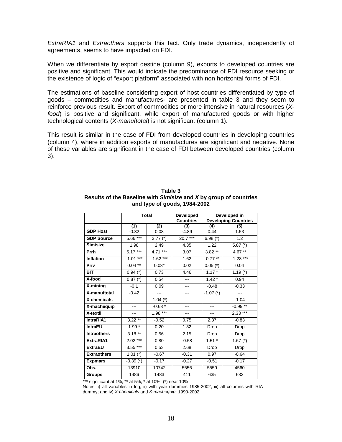*ExtraRIA1* and *Extraothers* supports this fact. Only trade dynamics, independently of agreements, seems to have impacted on FDI.

When we differentiate by export destine (column 9), exports to developed countries are positive and significant. This would indicate the predominance of FDI resource seeking or the existence of logic of "export platform" associated with non horizontal forms of FDI.

The estimations of baseline considering export of host countries differentiated by type of goods – commodities and manufactures- are presented in table 3 and they seem to reinforce previous result. Export of commodities or more intensive in natural resources (*Xfood*) is positive and significant, while export of manufactured goods or with higher technological contents (*X-manuftotal*) is not significant (column 1).

This result is similar in the case of FDI from developed countries in developing countries (column 4), where in addition exports of manufactures are significant and negative. None of these variables are significant in the case of FDI between developed countries (column 3).

|                    | <b>Total</b> |             | Developed<br><b>Countries</b> | Developed in<br><b>Developing Countries</b> |            |  |
|--------------------|--------------|-------------|-------------------------------|---------------------------------------------|------------|--|
|                    | (1)          | (2)         | (3)                           | (4)                                         | (5)        |  |
| <b>GDP Host</b>    | $-0.32$      | 0.08        | $-4.89$                       | 0.44                                        | 1.53       |  |
| <b>GDP Source</b>  | $5.66***$    | 3.77 $(*)$  | $20.7***$                     | $6.98$ (*)                                  | 1.2        |  |
| <b>Simisize</b>    | 1.98         | 2.49        | 4.35                          | 1.22                                        | 5.87 $(*)$ |  |
| Prrh               | $5.17***$    | $4.71***$   | 3.07                          | $3.82**$                                    | 4.67 **    |  |
| <b>Inflation</b>   | $-1.01***$   | $-1.62***$  | 1.62                          | $-0.77**$                                   | $-1.28***$ |  |
| Priv               | $0.04***$    | $0.03*$     | 0.02                          | $0.05$ (*)                                  | 0.04       |  |
| <b>BIT</b>         | $0.94$ (*)   | 0.73        | 4.46                          | $1.17*$                                     | 1.19 $(*)$ |  |
| X-food             | $0.87$ (*)   | 0.54        | ---                           | $1.42*$                                     | 0.94       |  |
| X-mining           | $-0.1$       | 0.09        |                               | $-0.48$                                     | $-0.33$    |  |
| X-manuftotal       | $-0.42$      | ---         | ---                           | $-1.07$ (*)                                 | ---        |  |
| X-chemicals        | ---          | $-1.04$ (*) |                               |                                             | $-1.04$    |  |
| X-machequip        | ---          | $-0.63*$    | ---                           | ---                                         | $-0.99**$  |  |
| X-textil           | ---          | $1.98***$   | ---                           | $---$                                       | $2.33***$  |  |
| IntraRIA1          | $3.22***$    | $-0.52$     | 0.75                          | 2.37                                        | $-0.83$    |  |
| <b>IntraEU</b>     | $1.99*$      | 0.20        | 1.32                          | Drop                                        | Drop       |  |
| <b>Intraothers</b> | $3.18**$     | 0.56        | 2.15                          | Drop                                        | Drop       |  |
| ExtraRIA1          | $2.02***$    | 0.80        | $-0.58$                       | $1.51*$                                     | $1.67$ (*) |  |
| <b>ExtraEU</b>     | $3.55***$    | 0.53        | 2.68                          | Drop                                        | Drop       |  |
| <b>Extraothers</b> | $1.01$ (*)   | $-0.67$     | $-0.31$                       | 0.97                                        | $-0.64$    |  |
| <b>Expmars</b>     | $-0.39$ (*)  | $-0.17$     | $-0.27$                       | $-0.51$                                     | $-0.17$    |  |
| Obs.               | 13910        | 10742       | 5556                          | 5559                                        | 4560       |  |
| <b>Groups</b>      | 1486         | 1483        | 411                           | 635                                         | 633        |  |

**Table 3 Results of the Baseline with** *Simisize* **and** *X* **by group of countries and type of goods, 1984-2002** 

significant at 1%, \*\* at 5%, \* at 10%, (\*) near 10%

Notes: i) all variables in log; ii) with year dummies 1985-2002; iii) all columns with RIA dummy; and iv) *X-chemicals* and *X-machequip*: 1990-2002.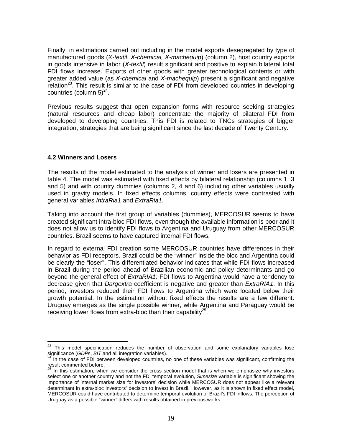Finally, in estimations carried out including in the model exports desegregated by type of manufactured goods (*X-textil*, *X-chemical, X-machequip*) (column 2), host country exports in goods intensive in labor (*X-textil*) result significant and positive to explain bilateral total FDI flows increase. Exports of other goods with greater technological contents or with greater added value (as *X-chemical* and *X-machequip*) present a significant and negative relation $^{23}$ . This result is similar to the case of FDI from developed countries in developing countries (column  $5)^{24}$ .

Previous results suggest that open expansion forms with resource seeking strategies (natural resources and cheap labor) concentrate the majority of bilateral FDI from developed to developing countries. This FDI is related to TNCs strategies of bigger integration, strategies that are being significant since the last decade of Twenty Century.

### **4.2 Winners and Losers**

 $\overline{\phantom{a}}$ 

The results of the model estimated to the analysis of winner and losers are presented in table 4. The model was estimated with fixed effects by bilateral relationship (columns 1, 3 and 5) and with country dummies (columns 2, 4 and 6) including other variables usually used in gravity models. In fixed effects columns, country effects were contrasted with general variables *IntraRia1* and *ExtraRia1*.

Taking into account the first group of variables (dummies), MERCOSUR seems to have created significant intra-bloc FDI flows, even though the available information is poor and it does not allow us to identify FDI flows to Argentina and Uruguay from other MERCOSUR countries. Brazil seems to have captured internal FDI flows.

In regard to external FDI creation some MERCOSUR countries have differences in their behavior as FDI receptors. Brazil could be the "winner" inside the bloc and Argentina could be clearly the "loser". This differentiated behavior indicates that while FDI flows increased in Brazil during the period ahead of Brazilian economic and policy determinants and go beyond the general effect of *ExtraRIA1;* FDI flows to Argentina would have a tendency to decrease given that *Dargextra* coefficient is negative and greater than *ExtraRIA1*. In this period, investors reduced their FDI flows to Argentina which were located below their growth potential. In the estimation without fixed effects the results are a few different: Uruguay emerges as the single possible winner, while Argentina and Paraguay would be receiving lower flows from extra-bloc than their capability<sup>25</sup>.

 $23$  This model specification reduces the number of observation and some explanatory variables lose significance (*GDP*s, *BIT* and all integration variables).<br><sup>24</sup> In the case of FDI between developed countries, no one of these variables was significant, confirming the

result commented before.

 $25$  In this estimation, when we consider the cross section model that is when we emphasize why investors select one or another country and not the FDI temporal evolution, *Simesize* variable is significant showing the importance of internal market size for investors' decision while MERCOSUR does not appear like a relevant determinant in extra-bloc investors' decision to invest in Brazil. However, as it is shown in fixed effect model, MERCOSUR could have contributed to determine temporal evolution of Brazil's FDI inflows. The perception of Uruguay as a possible "winner" differs with results obtained in previous works.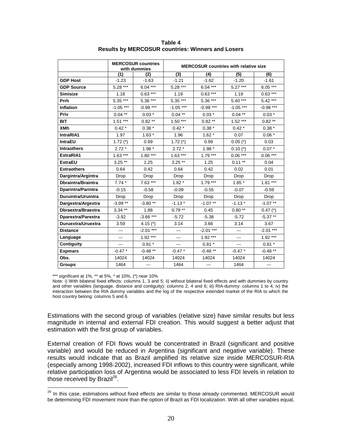|                           | <b>MERCOSUR countries</b><br>with dummies |             | <b>MERCOSUR countries with relative size</b> |            |                        |                   |
|---------------------------|-------------------------------------------|-------------|----------------------------------------------|------------|------------------------|-------------------|
|                           | (1)                                       | (2)         | $\overline{3}$                               | (4)        | (5)                    | (6)               |
| <b>GDP Host</b>           | $-1.23$                                   | $-1.63$     | $-1.21$                                      | $-1.62$    | $-1.20$                | $-1.61$           |
| <b>GDP Source</b>         | $5.28***$                                 | $6.04***$   | $5.28***$                                    | $6.04***$  | $5.27***$              | $6.05***$         |
| <b>Simisize</b>           | 1.18                                      | $0.63***$   | 1.19                                         | $0.63***$  | 1.19                   | $0.63***$         |
| Prrh                      | $5.35***$                                 | $5.36***$   | $5.35***$                                    | 5.36 ***   | $5.40***$              | $5.42***$         |
| Inflation                 | $-1.05***$                                | $-0.98***$  | $-1.05***$                                   | $-0.98***$ | $-1.05$ ***            | $-0.98$ ***       |
| Priv                      | $0.04***$                                 | $0.03*$     | $0.04***$                                    | $0.03*$    | $0.04**$               | $0.03$ $^{\star}$ |
| <b>BIT</b>                | $1.51***$                                 | $0.82**$    | $1.50***$                                    | $0.82**$   | $1.52***$              | $0.82**$          |
| <b>XMh</b>                | $0.42*$                                   | $0.38 *$    | $0.42*$                                      | $0.38 *$   | $0.42 *$               | $0.38 *$          |
| IntraRIA1                 | 1.97                                      | $1.63*$     | 1.96                                         | $1.62*$    | 0.07                   | $0.06*$           |
| <b>IntraEU</b>            | 1.72 $(*)$                                | 0.99        | 1.72 $(*)$                                   | 0.99       | $0.05$ (*)             | 0.03              |
| <b>Intraothers</b>        | $2.72*$                                   | $1.98*$     | $2.72*$                                      | $1.98*$    | $0.10$ (*)             | $0.07 *$          |
| ExtraRIA1                 | $1.63***$                                 | $1.80***$   | $1.63***$                                    | $1.79***$  | $0.06***$              | $0.06***$         |
| <b>ExtraEU</b>            | $3.25**$                                  | 1.25        | $3.25**$                                     | 1.25       | $0.11***$              | 0.04              |
| <b>Extraothers</b>        | 0.64                                      | 0.42        | 0.64                                         | 0.42       | 0.02                   | 0.01              |
| Dargintra/Argintra        | Drop                                      | Drop        | Drop                                         | Drop       | Drop                   | Drop              |
| <b>Dbraintra/Braintra</b> | $7.74*$                                   | $7.63***$   | $1.82*$                                      | $1.79***$  | $1.85*$                | $1.81***$         |
| Dparintra/Parintra        | $-0.15$                                   | $-0.58$     | $-0.09$                                      | $-0.55$    | $-0.07$                | $-0.59$           |
| Duruintra/Uruintra        | Drop                                      | Drop        | Drop                                         | Drop       | Drop                   | Drop              |
| Dargextra/Argextra        | $-3.99**$                                 | $-3.80**$   | $-1.13*$                                     | $-1.07**$  | $-1.13*$               | $-1.07**$         |
| Dbraextra/Braextra        | $3.34**$                                  | 1.88        | $0.79**$                                     | 0.45       | $0.80**$               | $0.47$ (*)        |
| Dparextra/Parextra        | $-3.92$                                   | $-3.66$ *** | $-5.72$                                      | $-5.38$    | $-5.72$                | $-5.37**$         |
| Duruextra/Uruextra        | 3.59                                      | 4.15 $(*)$  | 3.14                                         | 3.66       | 3.14                   | 3.67              |
| <b>Distance</b>           | ---                                       | $-2.01***$  | $\qquad \qquad \cdots$                       | $-2.01***$ | $\qquad \qquad \cdots$ | $-2.01$ ***       |
| Language                  |                                           | $1.92***$   |                                              | $1.92***$  |                        | $1.92***$         |
| Contiguity                |                                           | $0.81 *$    |                                              | $0.81 *$   |                        | $0.81 *$          |
| <b>Expmars</b>            | $-0.47$ *                                 | $-0.48**$   | $-0.47*$                                     | $-0.48**$  | $-0.47$ *              | $-0.48**$         |
| Obs.                      | 14024                                     | 14024       | 14024                                        | 14024      | 14024                  | 14024             |
| <b>Groups</b>             | 1464                                      |             | 1464                                         |            | 1464                   |                   |

**Table 4 Results by MERCOSUR countries: Winners and Losers** 

\*\*\* significant at 1%, \*\* at 5%, \* at 10%, (\*) near 10%

Note: i) With bilateral fixed effects: columns 1, 3 and 5; ii) without bilateral fixed effects and with dummies by country and other variables (language, distance and contiguity): columns 2, 4 and 6; iii) RIA-dummy: columns 1 to 4; iv) the interaction between the RIA dummy variables and the log of the respective extended market of the RIA to which the host country belong: columns 5 and 6.

Estimations with the second group of variables (relative size) have similar results but less magnitude in internal and external FDI creation. This would suggest a better adjust that estimation with the first group of variables.

External creation of FDI flows would be concentrated in Brazil (significant and positive variable) and would be reduced in Argentina (significant and negative variable). These results would indicate that as Brazil amplified its relative size inside MERCOSUR-RIA (especially among 1998-2002), increased FDI inflows to this country were significant, while relative participation loss of Argentina would be associated to less FDI levels in relation to those received by Brazil $^{26}$ .

 $\overline{\phantom{a}}$ <sup>26</sup> In this case, estimations without fixed effects are similar to those already commented. MERCOSUR would be determining FDI movement more than the option of Brazil as FDI localization. With all other variables equal,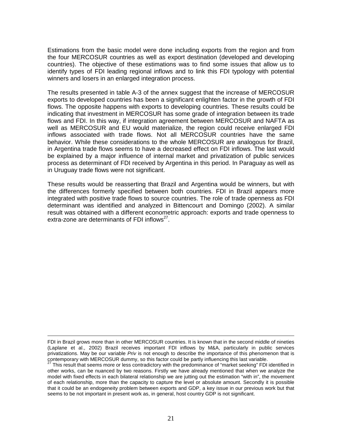Estimations from the basic model were done including exports from the region and from the four MERCOSUR countries as well as export destination (developed and developing countries). The objective of these estimations was to find some issues that allow us to identify types of FDI leading regional inflows and to link this FDI typology with potential winners and losers in an enlarged integration process.

The results presented in table A-3 of the annex suggest that the increase of MERCOSUR exports to developed countries has been a significant enlighten factor in the growth of FDI flows. The opposite happens with exports to developing countries. These results could be indicating that investment in MERCOSUR has some grade of integration between its trade flows and FDI. In this way, if integration agreement between MERCOSUR and NAFTA as well as MERCOSUR and EU would materialize, the region could receive enlarged FDI inflows associated with trade flows. Not all MERCOSUR countries have the same behavior. While these considerations to the whole MERCOSUR are analogous for Brazil, in Argentina trade flows seems to have a decreased effect on FDI inflows. The last would be explained by a major influence of internal market and privatization of public services process as determinant of FDI received by Argentina in this period. In Paraguay as well as in Uruguay trade flows were not significant.

These results would be reasserting that Brazil and Argentina would be winners, but with the differences formerly specified between both countries. FDI in Brazil appears more integrated with positive trade flows to source countries. The role of trade openness as FDI determinant was identified and analyzed in Bittencourt and Domingo (2002). A similar result was obtained with a different econometric approach: exports and trade openness to extra-zone are determinants of FDI inflows<sup>27</sup>.

<sup>-</sup>FDI in Brazil grows more than in other MERCOSUR countries. It is known that in the second middle of nineties (Laplane et al., 2002) Brazil receives important FDI inflows by M&A, particularly in public services privatizations. May be our variable *Priv* is not enough to describe the importance of this phenomenon that is contemporary with MERCOSUR dummy, so this factor could be partly influencing this last variable. 27 This result that seems more or less contradictory with the predominance of "market seeking" FDI identified in

other works, can be nuanced by two reasons. Firstly we have already mentioned that when we analyze the model with fixed effects in each bilateral relationship we are jutting out the estimation "with in", the movement of each relationship, more than the capacity to capture the level or absolute amount. Secondly it is possible that it could be an endogeneity problem between exports and GDP, a key issue in our previous work but that seems to be not important in present work as, in general, host country GDP is not significant.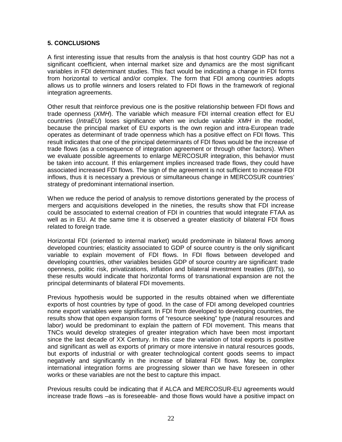### **5. CONCLUSIONS**

A first interesting issue that results from the analysis is that host country GDP has not a significant coefficient, when internal market size and dynamics are the most significant variables in FDI determinant studies. This fact would be indicating a change in FDI forms from horizontal to vertical and/or complex. The form that FDI among countries adopts allows us to profile winners and losers related to FDI flows in the framework of regional integration agreements.

Other result that reinforce previous one is the positive relationship between FDI flows and trade openness (*XMH*). The variable which measure FDI internal creation effect for EU countries (*IntraEU*) loses significance when we include variable *XMH* in the model, because the principal market of EU exports is the own region and intra-European trade operates as determinant of trade openness which has a positive effect on FDI flows. This result indicates that one of the principal determinants of FDI flows would be the increase of trade flows (as a consequence of integration agreement or through other factors). When we evaluate possible agreements to enlarge MERCOSUR integration, this behavior must be taken into account. If this enlargement implies increased trade flows, they could have associated increased FDI flows. The sign of the agreement is not sufficient to increase FDI inflows, thus it is necessary a previous or simultaneous change in MERCOSUR countries' strategy of predominant international insertion.

When we reduce the period of analysis to remove distortions generated by the process of mergers and acquisitions developed in the nineties, the results show that FDI increase could be associated to external creation of FDI in countries that would integrate FTAA as well as in EU. At the same time it is observed a greater elasticity of bilateral FDI flows related to foreign trade.

Horizontal FDI (oriented to internal market) would predominate in bilateral flows among developed countries; elasticity associated to GDP of source country is the only significant variable to explain movement of FDI flows. In FDI flows between developed and developing countries, other variables besides GDP of source country are significant: trade openness, politic risk, privatizations, inflation and bilateral investment treaties (*BITs*), so these results would indicate that horizontal forms of transnational expansion are not the principal determinants of bilateral FDI movements.

Previous hypothesis would be supported in the results obtained when we differentiate exports of host countries by type of good. In the case of FDI among developed countries none export variables were significant. In FDI from developed to developing countries, the results show that open expansion forms of "resource seeking" type (natural resources and labor) would be predominant to explain the pattern of FDI movement. This means that TNCs would develop strategies of greater integration which have been most important since the last decade of XX Century. In this case the variation of total exports is positive and significant as well as exports of primary or more intensive in natural resources goods, but exports of industrial or with greater technological content goods seems to impact negatively and significantly in the increase of bilateral FDI flows. May be, complex international integration forms are progressing slower than we have foreseen in other works or these variables are not the best to capture this impact.

Previous results could be indicating that if ALCA and MERCOSUR-EU agreements would increase trade flows –as is foreseeable- and those flows would have a positive impact on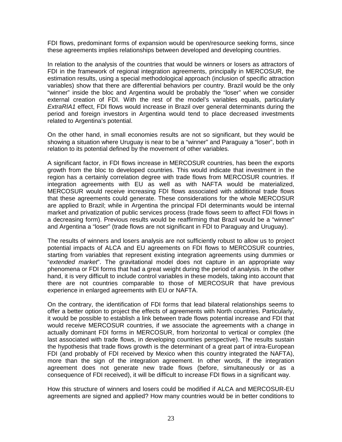FDI flows, predominant forms of expansion would be open/resource seeking forms, since these agreements implies relationships between developed and developing countries.

In relation to the analysis of the countries that would be winners or losers as attractors of FDI in the framework of regional integration agreements, principally in MERCOSUR, the estimation results, using a special methodological approach (inclusion of specific attraction variables) show that there are differential behaviors per country. Brazil would be the only "winner" inside the bloc and Argentina would be probably the "loser" when we consider external creation of FDI. With the rest of the model's variables equals, particularly *ExtraRIA1* effect, FDI flows would increase in Brazil over general determinants during the period and foreign investors in Argentina would tend to place decreased investments related to Argentina's potential.

On the other hand, in small economies results are not so significant, but they would be showing a situation where Uruguay is near to be a "winner" and Paraguay a "loser", both in relation to its potential defined by the movement of other variables.

A significant factor, in FDI flows increase in MERCOSUR countries, has been the exports growth from the bloc to developed countries. This would indicate that investment in the region has a certainly correlation degree with trade flows from MERCOSUR countries. If integration agreements with EU as well as with NAFTA would be materialized, MERCOSUR would receive increasing FDI flows associated with additional trade flows that these agreements could generate. These considerations for the whole MERCOSUR are applied to Brazil; while in Argentina the principal FDI determinants would be internal market and privatization of public services process (trade flows seem to affect FDI flows in a decreasing form). Previous results would be reaffirming that Brazil would be a "winner" and Argentina a "loser" (trade flows are not significant in FDI to Paraguay and Uruguay).

The results of winners and losers analysis are not sufficiently robust to allow us to project potential impacts of ALCA and EU agreements on FDI flows to MERCOSUR countries, starting from variables that represent existing integration agreements using dummies or "*extended market*". The gravitational model does not capture in an appropriate way phenomena or FDI forms that had a great weight during the period of analysis. In the other hand, it is very difficult to include control variables in these models, taking into account that there are not countries comparable to those of MERCOSUR that have previous experience in enlarged agreements with EU or NAFTA.

On the contrary, the identification of FDI forms that lead bilateral relationships seems to offer a better option to project the effects of agreements with North countries. Particularly, it would be possible to establish a link between trade flows potential increase and FDI that would receive MERCOSUR countries, if we associate the agreements with a change in actually dominant FDI forms in MERCOSUR, from horizontal to vertical or complex (the last associated with trade flows, in developing countries perspective). The results sustain the hypothesis that trade flows growth is the determinant of a great part of intra-European FDI (and probably of FDI received by Mexico when this country integrated the NAFTA), more than the sign of the integration agreement. In other words, if the integration agreement does not generate new trade flows (before, simultaneously or as a consequence of FDI received), it will be difficult to increase FDI flows in a significant way.

How this structure of winners and losers could be modified if ALCA and MERCOSUR-EU agreements are signed and applied? How many countries would be in better conditions to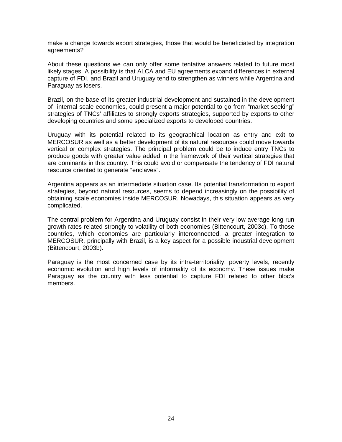make a change towards export strategies, those that would be beneficiated by integration agreements?

About these questions we can only offer some tentative answers related to future most likely stages. A possibility is that ALCA and EU agreements expand differences in external capture of FDI, and Brazil and Uruguay tend to strengthen as winners while Argentina and Paraguay as losers.

Brazil, on the base of its greater industrial development and sustained in the development of internal scale economies, could present a major potential to go from "market seeking" strategies of TNCs' affiliates to strongly exports strategies, supported by exports to other developing countries and some specialized exports to developed countries.

Uruguay with its potential related to its geographical location as entry and exit to MERCOSUR as well as a better development of its natural resources could move towards vertical or complex strategies. The principal problem could be to induce entry TNCs to produce goods with greater value added in the framework of their vertical strategies that are dominants in this country. This could avoid or compensate the tendency of FDI natural resource oriented to generate "enclaves".

Argentina appears as an intermediate situation case. Its potential transformation to export strategies, beyond natural resources, seems to depend increasingly on the possibility of obtaining scale economies inside MERCOSUR. Nowadays, this situation appears as very complicated.

The central problem for Argentina and Uruguay consist in their very low average long run growth rates related strongly to volatility of both economies (Bittencourt, 2003c). To those countries, which economies are particularly interconnected, a greater integration to MERCOSUR, principally with Brazil, is a key aspect for a possible industrial development (Bittencourt, 2003b).

Paraguay is the most concerned case by its intra-territoriality, poverty levels, recently economic evolution and high levels of informality of its economy. These issues make Paraguay as the country with less potential to capture FDI related to other bloc's members.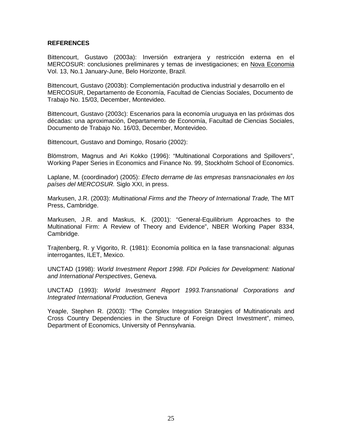### **REFERENCES**

Bittencourt, Gustavo (2003a): Inversión extranjera y restricción externa en el MERCOSUR: conclusiones preliminares y temas de investigaciones; en Nova Economia Vol. 13, No.1 January-June, Belo Horizonte, Brazil.

Bittencourt, Gustavo (2003b): Complementación productiva industrial y desarrollo en el MERCOSUR, Departamento de Economía, Facultad de Ciencias Sociales, Documento de Trabajo No. 15/03, December, Montevideo.

Bittencourt, Gustavo (2003c): Escenarios para la economía uruguaya en las próximas dos décadas: una aproximación, Departamento de Economía, Facultad de Ciencias Sociales, Documento de Trabajo No. 16/03, December, Montevideo.

Bittencourt, Gustavo and Domingo, Rosario (2002):

Blömstrom, Magnus and Ari Kokko (1996): "Multinational Corporations and Spillovers", Working Paper Series in Economics and Finance No. 99, Stockholm School of Economics.

Laplane, M. (coordinador) (2005): *Efecto derrame de las empresas transnacionales en los países del MERCOSUR.* Siglo XXI, in press.

Markusen, J.R. (2003): *Multinational Firms and the Theory of International Trade,* The MIT Press, Cambridge.

Markusen, J.R. and Maskus, K. (2001): "General-Equilibrium Approaches to the Multinational Firm: A Review of Theory and Evidence", NBER Working Paper 8334, Cambridge.

Trajtenberg, R. y Vigorito, R. (1981): Economía política en la fase transnacional: algunas interrogantes, ILET, Mexico.

UNCTAD (1998): *World Investment Report 1998. FDI Policies for Development: National and International Perspectives*, Geneva*.* 

UNCTAD (1993): *World Investment Report 1993.Transnational Corporations and Integrated International Production,* Geneva

Yeaple, Stephen R. (2003): "The Complex Integration Strategies of Multinationals and Cross Country Dependencies in the Structure of Foreign Direct Investment", mimeo, Department of Economics, University of Pennsylvania.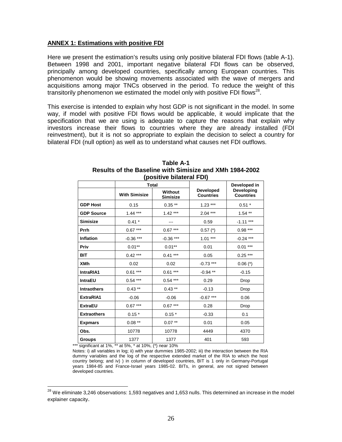### **ANNEX 1: Estimations with positive FDI**

Here we present the estimation's results using only positive bilateral FDI flows (table A-1). Between 1998 and 2001, important negative bilateral FDI flows can be observed, principally among developed countries, specifically among European countries. This phenomenon would be showing movements associated with the wave of mergers and acquisitions among major TNCs observed in the period. To reduce the weight of this transitorily phenomenon we estimated the model only with positive FDI flows<sup>28</sup>.

This exercise is intended to explain why host GDP is not significant in the model. In some way, if model with positive FDI flows would be applicable, it would implicate that the specification that we are using is adequate to capture the reasons that explain why investors increase their flows to countries where they are already installed (FDI reinvestment), but it is not so appropriate to explain the decision to select a country for bilateral FDI (null option) as well as to understand what causes net FDI outflows.

|                    | <b>Total</b>         |                            |                                      | Developed in                   |  |
|--------------------|----------------------|----------------------------|--------------------------------------|--------------------------------|--|
|                    | <b>With Simisize</b> | Without<br><b>Simisize</b> | <b>Developed</b><br><b>Countries</b> | Developing<br><b>Countries</b> |  |
| <b>GDP Host</b>    | 0.15                 | $0.35**$                   | $1.23***$                            | $0.51*$                        |  |
| <b>GDP Source</b>  | $1.44***$            | $1.42***$                  | $2.04***$                            | $1.54**$                       |  |
| <b>Simisize</b>    | $0.41*$              |                            | 0.59                                 | $-1.11***$                     |  |
| <b>Prrh</b>        | $0.67***$            | $0.67***$                  | $0.57$ $(*)$                         | $0.98***$                      |  |
| <b>Inflation</b>   | $-0.36***$           | $-0.36$ ***                | $1.01***$                            | $-0.24$ ***                    |  |
| Priv               | $0.01***$            | $0.01***$                  | 0.01                                 | $0.01***$                      |  |
| <b>BIT</b>         | $0.42***$            | $0.41***$                  | 0.05                                 | $0.25***$                      |  |
| <b>XMh</b>         | 0.02                 | 0.02                       | $-0.73$ ***                          | $0.06$ (*)                     |  |
| IntraRIA1          | $0.61***$            | $0.61***$                  | $-0.94$ **                           | $-0.15$                        |  |
| <b>IntraEU</b>     | $0.54***$            | $0.54***$                  | 0.29                                 | Drop                           |  |
| <b>Intraothers</b> | $0.43$ **            | $0.43$ **                  | $-0.13$                              | Drop                           |  |
| ExtraRIA1          | $-0.06$              | $-0.06$                    | $-0.67***$                           | 0.06                           |  |
| <b>ExtraEU</b>     | $0.67***$            | $0.67***$                  | 0.28                                 | Drop                           |  |
| <b>Extraothers</b> | $0.15*$              | $0.15*$                    | $-0.33$                              | 0.1                            |  |
| <b>Expmars</b>     | $0.08***$            | $0.07***$                  | 0.01                                 | 0.05                           |  |
| Obs.               | 10778                | 10778                      | 4449                                 | 4370                           |  |
| <b>Groups</b>      | 1377                 | 1377                       | 401                                  | 593                            |  |

#### **Table A-1 Results of the Baseline with Simisize and XMh 1984-2002 (positive bilateral FDI)**

\*\*\* significant at 1%, \*\* at 5%, \* at 10%, (\*) near 10%

Notes: i) all variables in log; ii) with year dummies 1985-2002; iii) the interaction between the RIA dummy variables and the log of the respective extended market of the RIA to which the host country belong; and iv) ) in column of developed countries, BIT is 1 only in Germany-Portugal years 1984-85 and France-Israel years 1985-02. BITs, in general, are not signed between developed countries.

 $\overline{\phantom{a}}$  $^{28}$  We eliminate 3,246 observations: 1,593 negatives and 1,653 nulls. This determined an increase in the model explainer capacity.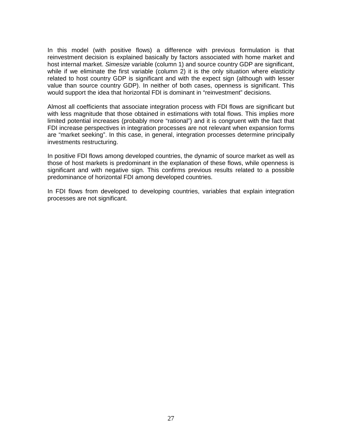In this model (with positive flows) a difference with previous formulation is that reinvestment decision is explained basically by factors associated with home market and host internal market. *Simesize* variable (column 1) and source country GDP are significant, while if we eliminate the first variable (column 2) it is the only situation where elasticity related to host country GDP is significant and with the expect sign (although with lesser value than source country GDP). In neither of both cases, openness is significant. This would support the idea that horizontal FDI is dominant in "reinvestment" decisions.

Almost all coefficients that associate integration process with FDI flows are significant but with less magnitude that those obtained in estimations with total flows. This implies more limited potential increases (probably more "rational") and it is congruent with the fact that FDI increase perspectives in integration processes are not relevant when expansion forms are "market seeking". In this case, in general, integration processes determine principally investments restructuring.

In positive FDI flows among developed countries, the dynamic of source market as well as those of host markets is predominant in the explanation of these flows, while openness is significant and with negative sign. This confirms previous results related to a possible predominance of horizontal FDI among developed countries.

In FDI flows from developed to developing countries, variables that explain integration processes are not significant.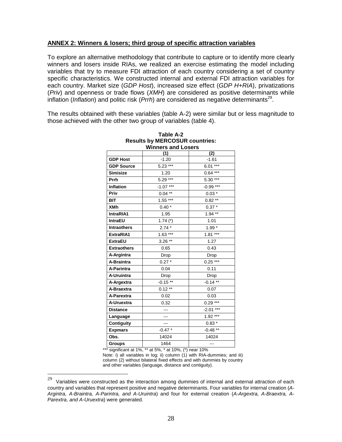### **ANNEX 2: Winners & losers; third group of specific attraction variables**

To explore an alternative methodology that contribute to capture or to identify more clearly winners and losers inside RIAs, we realized an exercise estimating the model including variables that try to measure FDI attraction of each country considering a set of country specific characteristics. We constructed internal and external FDI attraction variables for each country. Market size (*GDP Host*), increased size effect (*GDP H+RIA*), privatizations (*Priv*) and openness or trade flows (*XMH*) are considered as positive determinants while inflation (*Inflation*) and politic risk (*Prrh*) are considered as negative determinants<sup>29</sup>.

The results obtained with these variables (table A-2) were similar but or less magnitude to those achieved with the other two group of variables (table 4).

|                    | Winners and Losers |             |  |  |  |  |  |
|--------------------|--------------------|-------------|--|--|--|--|--|
|                    | (1)                | (2)         |  |  |  |  |  |
| <b>GDP Host</b>    | $-1.20$            | $-1.61$     |  |  |  |  |  |
| <b>GDP Source</b>  | $5.23***$          | $6.01***$   |  |  |  |  |  |
| <b>Simisize</b>    | 1.20               | $0.64***$   |  |  |  |  |  |
| Prrh               | $5.29***$          | $5.30***$   |  |  |  |  |  |
| <b>Inflation</b>   | $-1.07***$         | $-0.99***$  |  |  |  |  |  |
| Priv               | $0.04**$           | $0.03*$     |  |  |  |  |  |
| <b>BIT</b>         | $1.55***$          | $0.82**$    |  |  |  |  |  |
| <b>XMh</b>         | $0.40*$            | $0.37 *$    |  |  |  |  |  |
| IntraRIA1          | 1.95               | $1.94***$   |  |  |  |  |  |
| <b>IntraEU</b>     | 1.74 $(*)$         | 1.01        |  |  |  |  |  |
| <b>Intraothers</b> | $2.74*$            | $1.99*$     |  |  |  |  |  |
| ExtraRIA1          | $1.63$ ***         | $1.81***$   |  |  |  |  |  |
| <b>ExtraEU</b>     | $3.26**$           | 1.27        |  |  |  |  |  |
| <b>Extraothers</b> | 0.65               | 0.43        |  |  |  |  |  |
| A-Argintra         | Drop               | Drop        |  |  |  |  |  |
| A-Braintra         | $0.27 *$           | $0.25***$   |  |  |  |  |  |
| A-Parintra         | 0.04               | 0.11        |  |  |  |  |  |
| A-Uruintra         | Drop               | Drop        |  |  |  |  |  |
| A-Argextra         | $-0.15**$          | $-0.14**$   |  |  |  |  |  |
| A-Braextra         | $0.12**$           | 0.07        |  |  |  |  |  |
| A-Parextra         | 0.02               | 0.03        |  |  |  |  |  |
| A-Uruextra         | 0.32               | $0.29***$   |  |  |  |  |  |
| <b>Distance</b>    |                    | $-2.01$ *** |  |  |  |  |  |
| Language           |                    | $1.92***$   |  |  |  |  |  |
| <b>Contiguity</b>  |                    | $0.83*$     |  |  |  |  |  |
| <b>Expmars</b>     | $-0.47*$           | $-0.48**$   |  |  |  |  |  |
| Obs.               | 14024              | 14024       |  |  |  |  |  |
| <b>Groups</b>      | 1464               | ---         |  |  |  |  |  |

**Table A-2 Results by MERCOSUR countries: Winners and Losers** 

\*\*\* significant at 1%, \*\* at 5%, \* at 10%, (\*) near 10%

 $\overline{a}$ 

Note: i) all variables in log; ii) column (1) with RIA-dummies; and iii) column (2) without bilateral fixed effects and with dummies by country and other variables (language, distance and contiguity).

 $29$  Variables were constructed as the interaction among dummies of internal and external attraction of each country and variables that represent positive and negative determinants. Four variables for internal creation (*A-Argintra, A-Braintra, A-Parintra, and A-Uruintra*) and four for external creation (*A-Argextra, A-Braextra, A-Parextra, and A-Uruextra*) were generated.